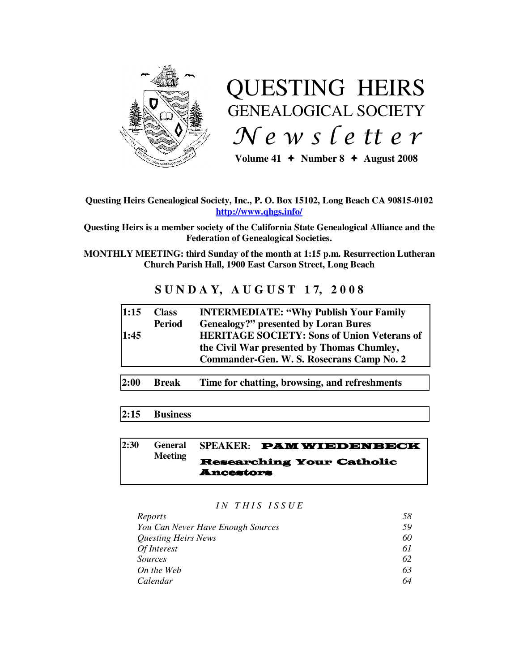

# QUESTING HEIRS GENEALOGICAL SOCIETY  $Ne$  w s letter

Volume  $41 +$  Number  $8 +$  August 2008

## **Questing Heirs Genealogical Society, Inc., P. O. Box 15102, Long Beach CA 90815-0102 http://www.qhgs.info/**

**Questing Heirs is a member society of the California State Genealogical Alliance and the Federation of Genealogical Societies.** 

**MONTHLY MEETING: third Sunday of the month at 1:15 p.m. Resurrection Lutheran Church Parish Hall, 1900 East Carson Street, Long Beach** 

# **S U N D A Y, A U G U S T 1 7, 2 0 0 8**

| 2:00         | Break                         | the Civil War presented by Thomas Chumley,<br>Commander-Gen. W. S. Rosecrans Camp No. 2<br>Time for chatting, browsing, and refreshments            |
|--------------|-------------------------------|-----------------------------------------------------------------------------------------------------------------------------------------------------|
| 1:15<br>1:45 | <b>Class</b><br><b>Period</b> | <b>INTERMEDIATE: "Why Publish Your Family"</b><br><b>Genealogy?"</b> presented by Loran Bures<br><b>HERITAGE SOCIETY: Sons of Union Veterans of</b> |

## **2:15 Business**

#### **2:30 General Meeting SPEAKER:** PAM WIEDENBECK Researching Your Catholic Ancestors

#### *I N T H I S I S S U E*

| 58 |
|----|
| 59 |
| 60 |
| 61 |
| 62 |
| 63 |
| 64 |
|    |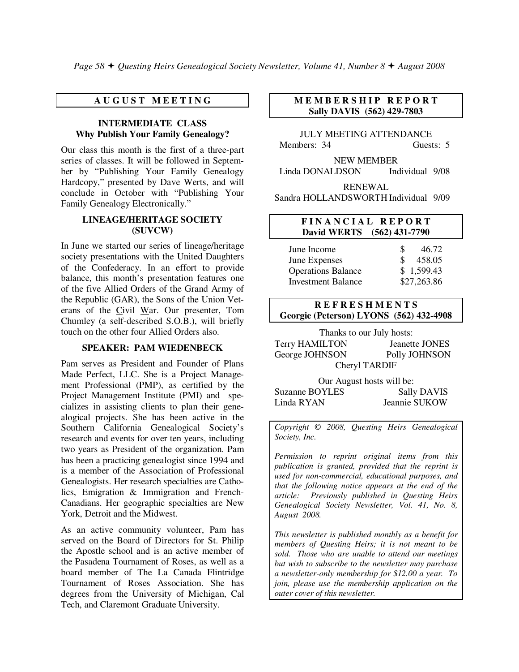## **A U G U S T M E E T I N G**

#### **INTERMEDIATE CLASS Why Publish Your Family Genealogy?**

Our class this month is the first of a three-part series of classes. It will be followed in September by "Publishing Your Family Genealogy Hardcopy," presented by Dave Werts, and will conclude in October with "Publishing Your Family Genealogy Electronically."

#### **LINEAGE/HERITAGE SOCIETY (SUVCW)**

In June we started our series of lineage/heritage society presentations with the United Daughters of the Confederacy. In an effort to provide balance, this month's presentation features one of the five Allied Orders of the Grand Army of the Republic (GAR), the Sons of the Union Veterans of the Civil War. Our presenter, Tom Chumley (a self-described S.O.B.), will briefly touch on the other four Allied Orders also.

#### **SPEAKER: PAM WIEDENBECK**

Pam serves as President and Founder of Plans Made Perfect, LLC. She is a Project Management Professional (PMP), as certified by the Project Management Institute (PMI) and specializes in assisting clients to plan their genealogical projects. She has been active in the Southern California Genealogical Society's research and events for over ten years, including two years as President of the organization. Pam has been a practicing genealogist since 1994 and is a member of the Association of Professional Genealogists. Her research specialties are Catholics, Emigration & Immigration and French-Canadians. Her geographic specialties are New York, Detroit and the Midwest.

As an active community volunteer, Pam has served on the Board of Directors for St. Philip the Apostle school and is an active member of the Pasadena Tournament of Roses, as well as a board member of The La Canada Flintridge Tournament of Roses Association. She has degrees from the University of Michigan, Cal Tech, and Claremont Graduate University.

#### **M E M B E R S H I P R E P O R T Sally DAVIS (562) 429-7803**

JULY MEETING ATTENDANCE Members: 34 Guests: 5

NEW MEMBER Linda DONALDSON Individual 9/08

RENEWAL

Sandra HOLLANDSWORTH Individual 9/09

#### **F I N A N C I A L R E P O R T David WERTS (562) 431-7790**

| June Income               | £. | 46.72       |
|---------------------------|----|-------------|
| June Expenses             | S. | 458.05      |
| <b>Operations Balance</b> |    | \$1,599.43  |
| <b>Investment Balance</b> |    | \$27,263.86 |

#### **R E F R E S H M E N T S Georgie (Peterson) LYONS (562) 432-4908**

Thanks to our July hosts: Terry HAMILTON Jeanette JONES<br>George JOHNSON Polly JOHNSON George JOHNSON

Cheryl TARDIF

Our August hosts will be: Suzanne BOYLES Sally DAVIS Linda RYAN Jeannie SUKOW

*Copyright* © *2008, Questing Heirs Genealogical Society, Inc.* 

*Permission to reprint original items from this publication is granted, provided that the reprint is used for non-commercial, educational purposes, and that the following notice appears at the end of the article: Previously published in Questing Heirs Genealogical Society Newsletter, Vol. 41, No. 8, August 2008.* 

*This newsletter is published monthly as a benefit for members of Questing Heirs; it is not meant to be sold. Those who are unable to attend our meetings but wish to subscribe to the newsletter may purchase a newsletter-only membership for \$12.00 a year. To join, please use the membership application on the outer cover of this newsletter.*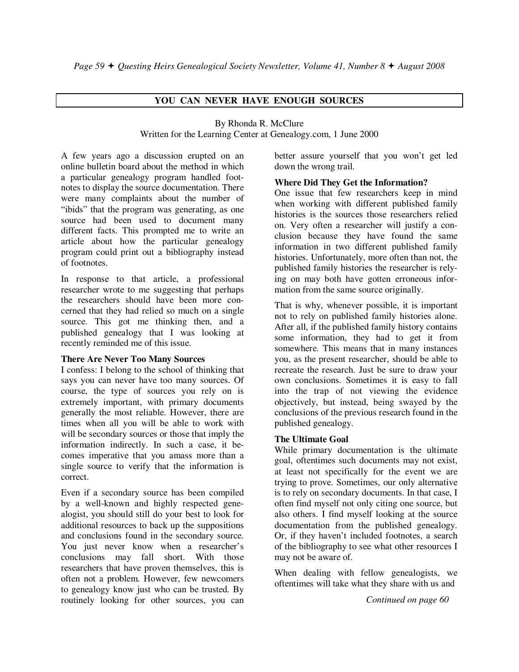## **YOU CAN NEVER HAVE ENOUGH SOURCES**

#### By Rhonda R. McClure

Written for the Learning Center at Genealogy.com, 1 June 2000

A few years ago a discussion erupted on an online bulletin board about the method in which a particular genealogy program handled footnotes to display the source documentation. There were many complaints about the number of "ibids" that the program was generating, as one source had been used to document many different facts. This prompted me to write an article about how the particular genealogy program could print out a bibliography instead of footnotes.

In response to that article, a professional researcher wrote to me suggesting that perhaps the researchers should have been more concerned that they had relied so much on a single source. This got me thinking then, and a published genealogy that I was looking at recently reminded me of this issue.

#### **There Are Never Too Many Sources**

I confess: I belong to the school of thinking that says you can never have too many sources. Of course, the type of sources you rely on is extremely important, with primary documents generally the most reliable. However, there are times when all you will be able to work with will be secondary sources or those that imply the information indirectly. In such a case, it becomes imperative that you amass more than a single source to verify that the information is correct.

Even if a secondary source has been compiled by a well-known and highly respected genealogist, you should still do your best to look for additional resources to back up the suppositions and conclusions found in the secondary source. You just never know when a researcher's conclusions may fall short. With those researchers that have proven themselves, this is often not a problem. However, few newcomers to genealogy know just who can be trusted. By routinely looking for other sources, you can better assure yourself that you won't get led down the wrong trail.

#### **Where Did They Get the Information?**

One issue that few researchers keep in mind when working with different published family histories is the sources those researchers relied on. Very often a researcher will justify a conclusion because they have found the same information in two different published family histories. Unfortunately, more often than not, the published family histories the researcher is relying on may both have gotten erroneous information from the same source originally.

That is why, whenever possible, it is important not to rely on published family histories alone. After all, if the published family history contains some information, they had to get it from somewhere. This means that in many instances you, as the present researcher, should be able to recreate the research. Just be sure to draw your own conclusions. Sometimes it is easy to fall into the trap of not viewing the evidence objectively, but instead, being swayed by the conclusions of the previous research found in the published genealogy.

## **The Ultimate Goal**

While primary documentation is the ultimate goal, oftentimes such documents may not exist, at least not specifically for the event we are trying to prove. Sometimes, our only alternative is to rely on secondary documents. In that case, I often find myself not only citing one source, but also others. I find myself looking at the source documentation from the published genealogy. Or, if they haven't included footnotes, a search of the bibliography to see what other resources I may not be aware of.

When dealing with fellow genealogists, we oftentimes will take what they share with us and

*Continued on page 60*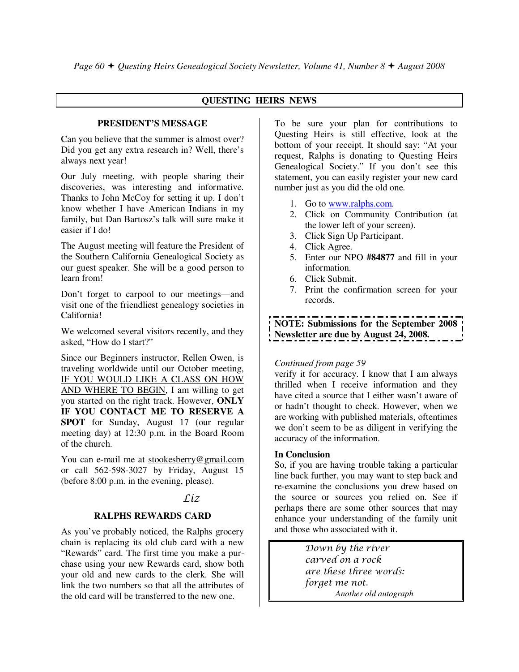## **QUESTING HEIRS NEWS**

#### **PRESIDENT'S MESSAGE**

Can you believe that the summer is almost over? Did you get any extra research in? Well, there's always next year!

Our July meeting, with people sharing their discoveries, was interesting and informative. Thanks to John McCoy for setting it up. I don't know whether I have American Indians in my family, but Dan Bartosz's talk will sure make it easier if I do!

The August meeting will feature the President of the Southern California Genealogical Society as our guest speaker. She will be a good person to learn from!

Don't forget to carpool to our meetings—and visit one of the friendliest genealogy societies in California!

We welcomed several visitors recently, and they asked, "How do I start?"

Since our Beginners instructor, Rellen Owen, is traveling worldwide until our October meeting, IF YOU WOULD LIKE A CLASS ON HOW AND WHERE TO BEGIN, I am willing to get you started on the right track. However, **ONLY IF YOU CONTACT ME TO RESERVE A SPOT** for Sunday, August 17 (our regular meeting day) at 12:30 p.m. in the Board Room of the church.

You can e-mail me at stookesberry@gmail.com or call 562-598-3027 by Friday, August 15 (before 8:00 p.m. in the evening, please).

## Liz

## **RALPHS REWARDS CARD**

As you've probably noticed, the Ralphs grocery chain is replacing its old club card with a new "Rewards" card. The first time you make a purchase using your new Rewards card, show both your old and new cards to the clerk. She will link the two numbers so that all the attributes of the old card will be transferred to the new one.

To be sure your plan for contributions to Questing Heirs is still effective, look at the bottom of your receipt. It should say: "At your request, Ralphs is donating to Questing Heirs Genealogical Society." If you don't see this statement, you can easily register your new card number just as you did the old one.

- 1. Go to www.ralphs.com.
- 2. Click on Community Contribution (at the lower left of your screen).
- 3. Click Sign Up Participant.
- 4. Click Agree.
- 5. Enter our NPO **#84877** and fill in your information.
- 6. Click Submit.
- 7. Print the confirmation screen for your records.

**NOTE: Submissions for the September 2008 Newsletter are due by August 24, 2008.** 

#### *Continued from page 59*

verify it for accuracy. I know that I am always thrilled when I receive information and they have cited a source that I either wasn't aware of or hadn't thought to check. However, when we are working with published materials, oftentimes we don't seem to be as diligent in verifying the accuracy of the information.

#### **In Conclusion**

So, if you are having trouble taking a particular line back further, you may want to step back and re-examine the conclusions you drew based on the source or sources you relied on. See if perhaps there are some other sources that may enhance your understanding of the family unit and those who associated with it.

> Down by the river carved on a rock are these three words: forget me not. *Another old autograph*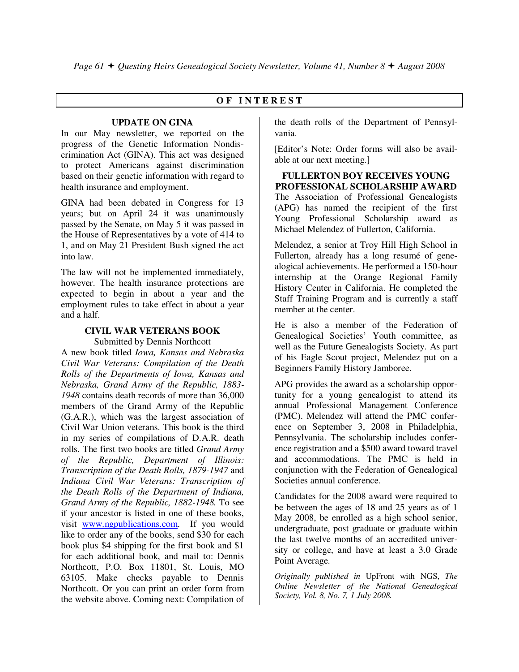## **O F I N T E R E S T**

#### **UPDATE ON GINA**

In our May newsletter, we reported on the progress of the Genetic Information Nondiscrimination Act (GINA). This act was designed to protect Americans against discrimination based on their genetic information with regard to health insurance and employment.

GINA had been debated in Congress for 13 years; but on April 24 it was unanimously passed by the Senate, on May 5 it was passed in the House of Representatives by a vote of 414 to 1, and on May 21 President Bush signed the act into law.

The law will not be implemented immediately, however. The health insurance protections are expected to begin in about a year and the employment rules to take effect in about a year and a half.

#### **CIVIL WAR VETERANS BOOK**  Submitted by Dennis Northcott

A new book titled *Iowa, Kansas and Nebraska Civil War Veterans: Compilation of the Death Rolls of the Departments of Iowa, Kansas and Nebraska, Grand Army of the Republic, 1883- 1948* contains death records of more than 36,000 members of the Grand Army of the Republic (G.A.R.), which was the largest association of Civil War Union veterans. This book is the third in my series of compilations of D.A.R. death rolls. The first two books are titled *Grand Army of the Republic, Department of Illinois: Transcription of the Death Rolls, 1879-1947* and *Indiana Civil War Veterans: Transcription of the Death Rolls of the Department of Indiana, Grand Army of the Republic, 1882-1948.* To see if your ancestor is listed in one of these books, visit www.ngpublications.com. If you would like to order any of the books, send \$30 for each book plus \$4 shipping for the first book and \$1 for each additional book, and mail to: Dennis Northcott, P.O. Box 11801, St. Louis, MO 63105. Make checks payable to Dennis Northcott. Or you can print an order form from the website above. Coming next: Compilation of

the death rolls of the Department of Pennsylvania.

[Editor's Note: Order forms will also be available at our next meeting.]

## **FULLERTON BOY RECEIVES YOUNG PROFESSIONAL SCHOLARSHIP AWARD**

The Association of Professional Genealogists (APG) has named the recipient of the first Young Professional Scholarship award as Michael Melendez of Fullerton, California.

Melendez, a senior at Troy Hill High School in Fullerton, already has a long resumé of genealogical achievements. He performed a 150-hour internship at the Orange Regional Family History Center in California. He completed the Staff Training Program and is currently a staff member at the center.

He is also a member of the Federation of Genealogical Societies' Youth committee, as well as the Future Genealogists Society. As part of his Eagle Scout project, Melendez put on a Beginners Family History Jamboree.

APG provides the award as a scholarship opportunity for a young genealogist to attend its annual Professional Management Conference (PMC). Melendez will attend the PMC conference on September 3, 2008 in Philadelphia, Pennsylvania. The scholarship includes conference registration and a \$500 award toward travel and accommodations. The PMC is held in conjunction with the Federation of Genealogical Societies annual conference.

Candidates for the 2008 award were required to be between the ages of 18 and 25 years as of 1 May 2008, be enrolled as a high school senior, undergraduate, post graduate or graduate within the last twelve months of an accredited university or college, and have at least a 3.0 Grade Point Average.

*Originally published in* UpFront with NGS, *The Online Newsletter of the National Genealogical Society, Vol. 8, No. 7, 1 July 2008.*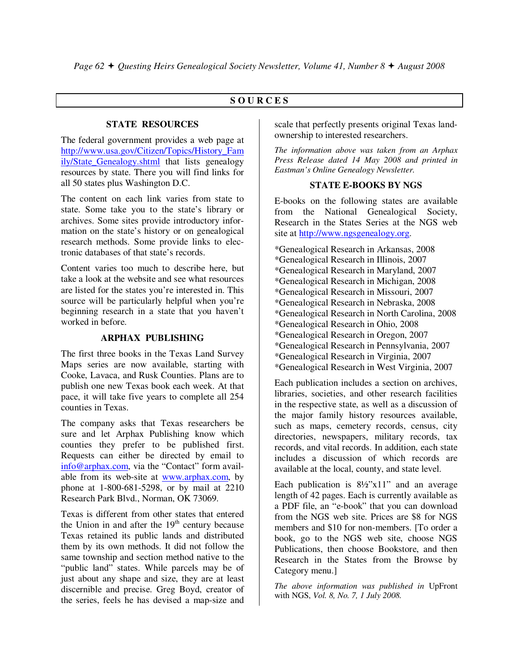## **S O U R C E S**

#### **STATE RESOURCES**

The federal government provides a web page at http://www.usa.gov/Citizen/Topics/History\_Fam ily/State\_Genealogy.shtml that lists genealogy resources by state. There you will find links for all 50 states plus Washington D.C.

The content on each link varies from state to state. Some take you to the state's library or archives. Some sites provide introductory information on the state's history or on genealogical research methods. Some provide links to electronic databases of that state's records.

Content varies too much to describe here, but take a look at the website and see what resources are listed for the states you're interested in. This source will be particularly helpful when you're beginning research in a state that you haven't worked in before.

#### **ARPHAX PUBLISHING**

The first three books in the Texas Land Survey Maps series are now available, starting with Cooke, Lavaca, and Rusk Counties. Plans are to publish one new Texas book each week. At that pace, it will take five years to complete all 254 counties in Texas.

The company asks that Texas researchers be sure and let Arphax Publishing know which counties they prefer to be published first. Requests can either be directed by email to info@arphax.com, via the "Contact" form available from its web-site at www.arphax.com, by phone at 1-800-681-5298, or by mail at 2210 Research Park Blvd., Norman, OK 73069.

Texas is different from other states that entered the Union in and after the  $19<sup>th</sup>$  century because Texas retained its public lands and distributed them by its own methods. It did not follow the same township and section method native to the "public land" states. While parcels may be of just about any shape and size, they are at least discernible and precise. Greg Boyd, creator of the series, feels he has devised a map-size and scale that perfectly presents original Texas landownership to interested researchers.

*The information above was taken from an Arphax Press Release dated 14 May 2008 and printed in Eastman's Online Genealogy Newsletter.* 

#### **STATE E-BOOKS BY NGS**

E-books on the following states are available from the National Genealogical Society, Research in the States Series at the NGS web site at http://www.ngsgenealogy.org.

\*Genealogical Research in Arkansas, 2008 \*Genealogical Research in Illinois, 2007 \*Genealogical Research in Maryland, 2007 \*Genealogical Research in Michigan, 2008 \*Genealogical Research in Missouri, 2007 \*Genealogical Research in Nebraska, 2008 \*Genealogical Research in North Carolina, 2008 \*Genealogical Research in Ohio, 2008 \*Genealogical Research in Oregon, 2007 \*Genealogical Research in Pennsylvania, 2007 \*Genealogical Research in Virginia, 2007 \*Genealogical Research in West Virginia, 2007

Each publication includes a section on archives, libraries, societies, and other research facilities in the respective state, as well as a discussion of the major family history resources available, such as maps, cemetery records, census, city directories, newspapers, military records, tax records, and vital records. In addition, each state includes a discussion of which records are available at the local, county, and state level.

Each publication is 8½"x11" and an average length of 42 pages. Each is currently available as a PDF file, an "e-book" that you can download from the NGS web site. Prices are \$8 for NGS members and \$10 for non-members. [To order a book, go to the NGS web site, choose NGS Publications, then choose Bookstore, and then Research in the States from the Browse by Category menu.]

*The above information was published in* UpFront with NGS, *Vol. 8, No. 7, 1 July 2008.*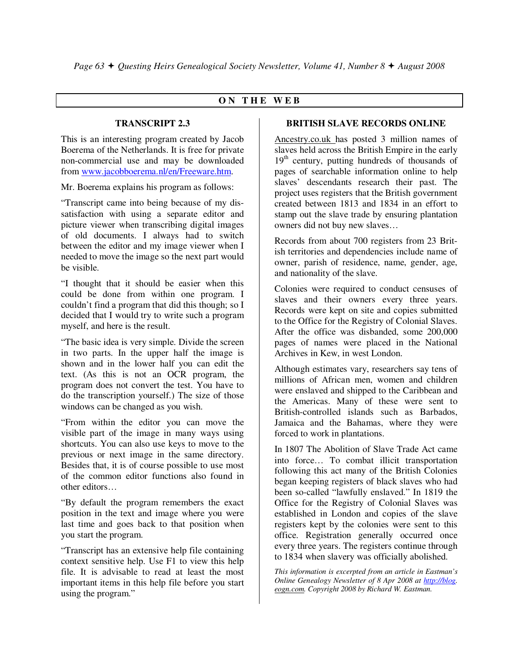## **O N T H E W E B**

#### **TRANSCRIPT 2.3**

This is an interesting program created by Jacob Boerema of the Netherlands. It is free for private non-commercial use and may be downloaded from www.jacobboerema.nl/en/Freeware.htm.

Mr. Boerema explains his program as follows:

"Transcript came into being because of my dissatisfaction with using a separate editor and picture viewer when transcribing digital images of old documents. I always had to switch between the editor and my image viewer when I needed to move the image so the next part would be visible.

"I thought that it should be easier when this could be done from within one program. I couldn't find a program that did this though; so I decided that I would try to write such a program myself, and here is the result.

"The basic idea is very simple. Divide the screen in two parts. In the upper half the image is shown and in the lower half you can edit the text. (As this is not an OCR program, the program does not convert the test. You have to do the transcription yourself.) The size of those windows can be changed as you wish.

"From within the editor you can move the visible part of the image in many ways using shortcuts. You can also use keys to move to the previous or next image in the same directory. Besides that, it is of course possible to use most of the common editor functions also found in other editors…

"By default the program remembers the exact position in the text and image where you were last time and goes back to that position when you start the program.

"Transcript has an extensive help file containing context sensitive help. Use F1 to view this help file. It is advisable to read at least the most important items in this help file before you start using the program."

## **BRITISH SLAVE RECORDS ONLINE**

Ancestry.co.uk has posted 3 million names of slaves held across the British Empire in the early  $19<sup>th</sup>$  century, putting hundreds of thousands of pages of searchable information online to help slaves' descendants research their past. The project uses registers that the British government created between 1813 and 1834 in an effort to stamp out the slave trade by ensuring plantation owners did not buy new slaves…

Records from about 700 registers from 23 British territories and dependencies include name of owner, parish of residence, name, gender, age, and nationality of the slave.

Colonies were required to conduct censuses of slaves and their owners every three years. Records were kept on site and copies submitted to the Office for the Registry of Colonial Slaves. After the office was disbanded, some 200,000 pages of names were placed in the National Archives in Kew, in west London.

Although estimates vary, researchers say tens of millions of African men, women and children were enslaved and shipped to the Caribbean and the Americas. Many of these were sent to British-controlled islands such as Barbados, Jamaica and the Bahamas, where they were forced to work in plantations.

In 1807 The Abolition of Slave Trade Act came into force… To combat illicit transportation following this act many of the British Colonies began keeping registers of black slaves who had been so-called "lawfully enslaved." In 1819 the Office for the Registry of Colonial Slaves was established in London and copies of the slave registers kept by the colonies were sent to this office. Registration generally occurred once every three years. The registers continue through to 1834 when slavery was officially abolished.

*This information is excerpted from an article in Eastman's Online Genealogy Newsletter of 8 Apr 2008 at http://blog. eogn.com. Copyright 2008 by Richard W. Eastman.*